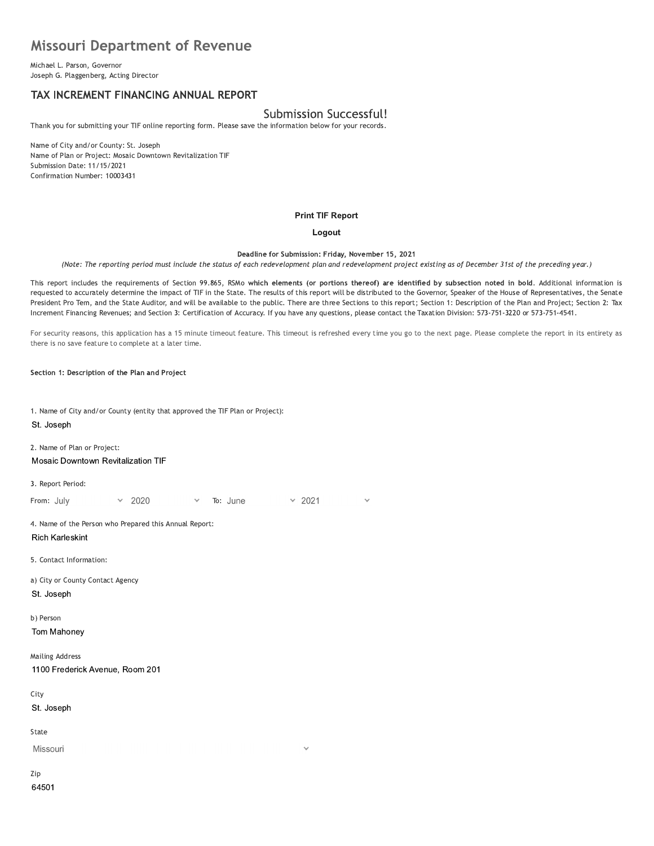# **Missouri Department of Revenue**

Michael L. Parson, Governor Joseph G. Plaggenberg, Acting Director

## TAX INCREMENT FINANCING ANNUAL REPORT

# Submission Successful!

Thank you for submitting your TIF online reporting form. Please save the information below for your records.

Name of City and/or County: St. Joseph Name of Plan or Project: Mosaic Downtown Revitalization TIF Submission Date: 11/15/2021 Confirmation Number: 10003431

#### **Print TIF Report**

#### Logout

Deadline for Submission: Friday, November 15, 2021

(Note: The reporting period must include the status of each redevelopment plan and redevelopment project existing as of December 31st of the preceding year.)

This report includes the requirements of Section 99.865, RSMo which elements (or portions thereof) are identified by subsection noted in bold. Additional information is requested to accurately determine the impact of TIF in the State. The results of this report will be distributed to the Governor, Speaker of the House of Representatives, the Senate President Pro Tem, and the State Auditor, and will be available to the public. There are three Sections to this report; Section 1: Description of the Plan and Project; Section 2: Tax Increment Financing Revenues; and Section 3: Certification of Accuracy. If you have any questions, please contact the Taxation Division: 573-751-3220 or 573-751-4541.

For security reasons, this application has a 15 minute timeout feature. This timeout is refreshed every time you go to the next page. Please complete the report in its entirety as there is no save feature to complete at a later time.

Section 1: Description of the Plan and Project

1. Name of City and/or County (entity that approved the TIF Plan or Project): St. Joseph

2. Name of Plan or Project: Mosaic Downtown Revitalization TIF

3. Report Period:

 $\times$  2021 From: July 2020 To: June

4. Name of the Person who Prepared this Annual Report: **Rich Karleskint** 

5. Contact Information:

a) City or County Contact Agency St. Joseph

b) Person

Tom Mahoney

**Mailing Address** 1100 Frederick Avenue, Room 201

City

St. Joseph

State

Missouri

Zip 64501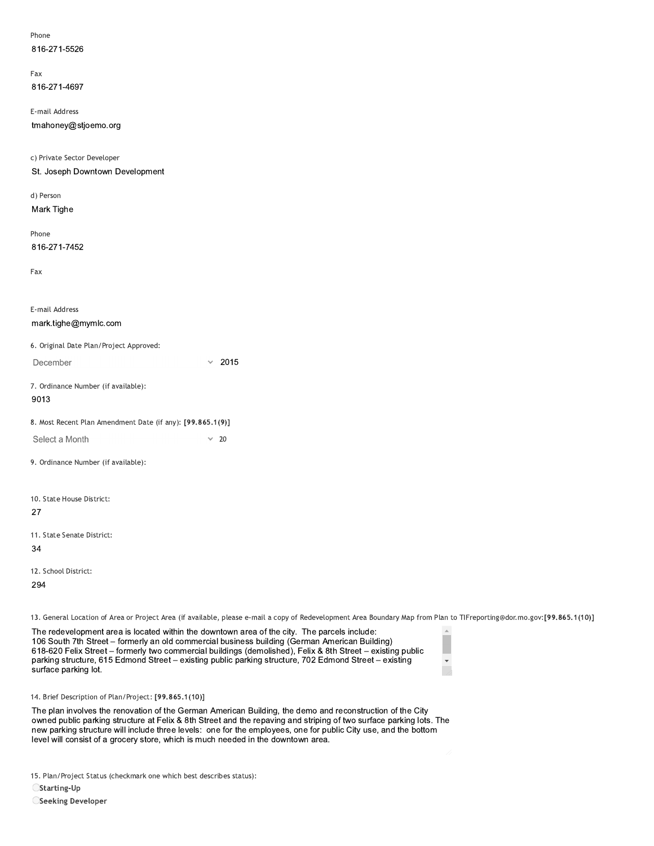| Phone        |
|--------------|
| 816-271-5526 |

| Fax          |  |
|--------------|--|
| 816-271-4697 |  |

E-mail Address

816-271-5526<br>
Fax<br>
816-271-4697<br>
E-mail Address<br>
tmahoney@stjoemo.org<br>
c) Private Sector Developer<br>
St. Joseph Downtown Development<br>
d) Person<br>
Mark Tighe c) Private Sector Developer E-mail Address<br>
tmahoney@stjoemo.org<br>
c) Private Sector Developer<br>
St. Joseph Downtown Development<br>
d) Person<br>
Mark Tighe<br>
Phone<br>
816-271-7452

a) Person Mark Tighe

rnone 816-271-7452

| 816-271-7452                                               |              |      |
|------------------------------------------------------------|--------------|------|
| Fax                                                        |              |      |
|                                                            |              |      |
| E-mail Address                                             |              |      |
| mark.tighe@mymlc.com                                       |              |      |
| 6. Original Date Plan/Project Approved:                    |              |      |
| December                                                   | $\checkmark$ | 2015 |
| 7. Ordinance Number (if available):<br>9013                |              |      |
| 8. Most Recent Plan Amendment Date (if any): [99.865.1(9)] |              |      |
| Select a Month                                             | $\checkmark$ | - 20 |
| 9. Ordinance Number (if available):                        |              |      |
| 10. State House District:                                  |              |      |
| 27                                                         |              |      |
| 11. State Senate District:                                 |              |      |
| 34                                                         |              |      |
| 12. School District:                                       |              |      |
| 294                                                        |              |      |

13. General Location of Area or Project Area (if available, please e-mail a copy of Redevelopment Area Boundary Map from Plan to TIFreporting@dor.mo.gov:[99.865.1(10)]

12. School District:<br>
294<br>
13. General Location of Area or Project Area (if available, please e-mail a copy of Redevelopment Area Boun<br>
106 South 7th Street – formerly an old commercial business building (German American B 106 South 7th Street – formerly an old commercial business building (German American Building) 618-620 Felix Street – formerly two commercial buildings (demolished), Felix & 8th Street – existing public parking structure, 615 Edmond Street - existing public parking structure, 702 Edmond Street - existing<br>surface parking lot. 13. General Location of Area or Project Area (i<br>The redevelopment area is located within<br>106 South 7th Street – formerly an old co<br>618-620 Felix Street – formerly two comm<br>parking structure, 615 Edmond Street – e<br>surface

| ٢ |   |  |
|---|---|--|
|   |   |  |
|   | ë |  |

 $\mathbb{A}$ 

14. Brief Description of Plan/Project: [99.865.1(10)]

The plan involves the renovation of the German American Building, the demo and reconstruction of the City owned public parking structure at Felix & 8th Street and the repaving and striping of two surface parking lots. The Tub South rn Street – formerly an of commercial buildings (demolished), Felix & 8th Street – existing public<br>618-620 Felix Street – formerly two commercial buildings (demolished), Felix & 8th Street – existing public<br>parki parking structure, 615 Edmond Street – existing public parking structure, 702 Edmond Street – existing<br>surface parking lot.<br>14. Brief Description of Plan/Project: [99.865.1(10)]<br>The plan involves the renovation of the Germ

15. Plan/Project Status (checkmark one which best describes status):

 $\bigcirc$ Starting-Up

OSeeking Developer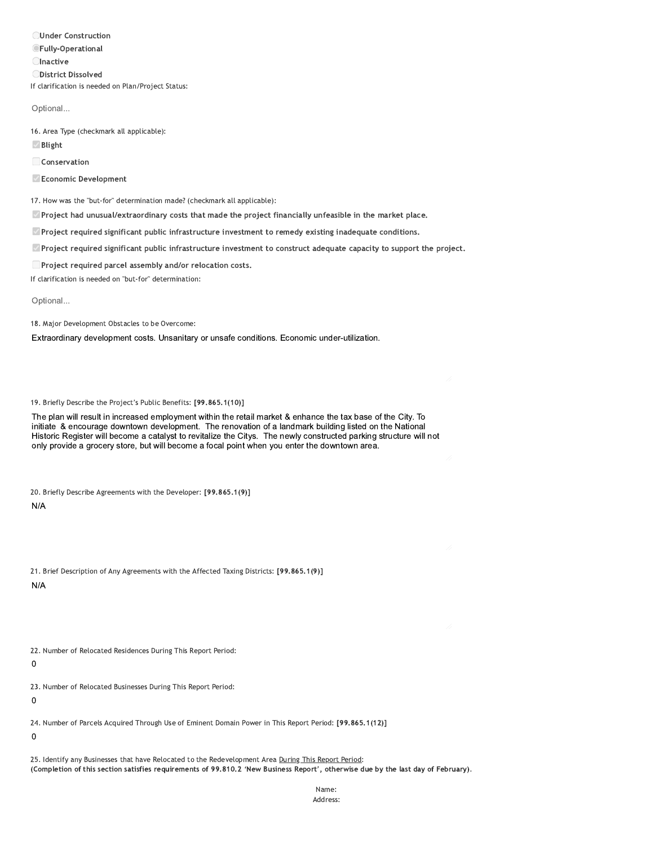**OUnder Construction OFully-Operational Olnactive ODistrict Dissolved** If clarification is needed on Plan/Project Status:

Optional...

16. Area Type (checkmark all applicable):

**Ø** Blight

Conservation

Economic Development

17. How was the "but-for" determination made? (checkmark all applicable):

Project had unusual/extraordinary costs that made the project financially unfeasible in the market place.

 $\Box$  Project required significant public infrastructure investment to remedy existing inadequate conditions.

Project required significant public infrastructure investment to construct adequate capacity to support the project.

□ Project required parcel assembly and/or relocation costs.

If clarification is needed on "but-for" determination:

Optional...

18. Major Development Obstacles to be Overcome:

Extraordinary development costs. Unsanitary or unsafe conditions. Economic under-utilization.

19. Briefly Describe the Project's Public Benefits: [99.865.1(10)]

The plan will result in increased employment within the retail market & enhance the tax base of the City. To initiate & encourage downtown development. The renovation of a landmark building listed on the National Historic Register will become a catalyst to revitalize the Citys. The newly constructed parking structure will not only provide a grocery store, but will become a focal point when you enter the downtown area.

20. Briefly Describe Agreements with the Developer: [99.865.1(9)]

 $N/A$ 

|     | 21. Brief Description of Any Agreements with the Affected Taxing Districts: [99.865.1(9)] |  |  |  |  |
|-----|-------------------------------------------------------------------------------------------|--|--|--|--|
| N/A |                                                                                           |  |  |  |  |

22. Number of Relocated Residences During This Report Period:

 $\mathbf 0$ 

23. Number of Relocated Businesses During This Report Period:

 $\mathbf 0$ 

24. Number of Parcels Acquired Through Use of Eminent Domain Power in This Report Period: [99.865.1(12)]

 $\mathbf 0$ 

25. Identify any Businesses that have Relocated to the Redevelopment Area During This Report Period: (Completion of this section satisfies requirements of 99.810.2 'New Business Report', otherwise due by the last day of February).

> Name: Address: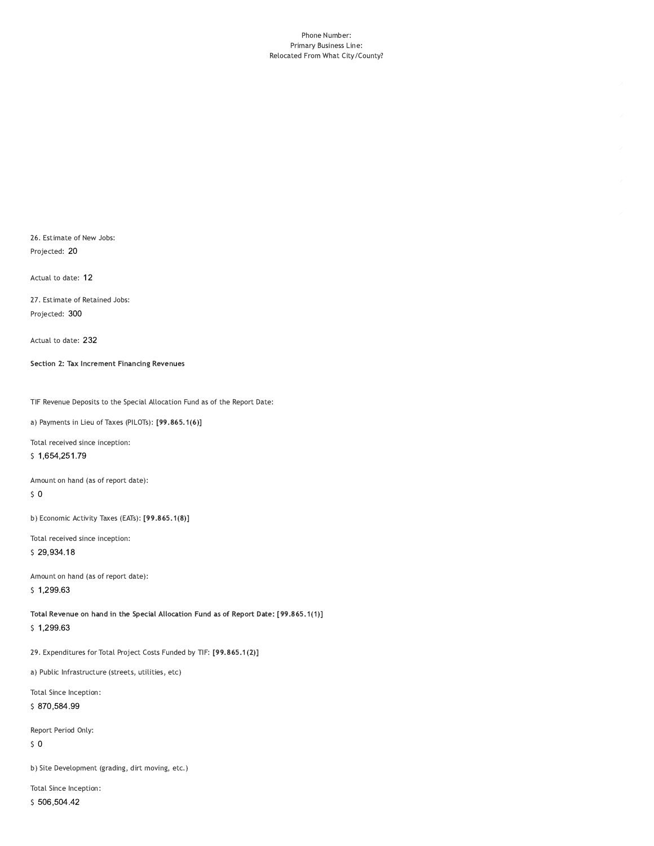#### Phone Number: Primary Business Line: Relocated From What City/County?

26. Estimate of New Jobs: Projected: 20

Actual to date: 12

27. Estimate of Retained Jobs: Projected: 300

Actual to date: 232

Section 2: Tax Increment Financing Revenues

TIF Revenue Deposits to the Special Allocation Fund as of the Report Date:

a) Payments in Lieu of Taxes (PILOTs): [99.865.1(6)]

Total received since inception:

\$1,654,251.79

Amount on hand (as of report date):

 $\sqrt{5}$  O

b) Economic Activity Taxes (EATs): [99.865.1(8)]

Total received since inception:

\$29,934.18

Amount on hand (as of report date):  $$1,299.63$ 

Total Revenue on hand in the Special Allocation Fund as of Report Date: [99.865.1(1)]  $$1,299.63$ 

29. Expenditures for Total Project Costs Funded by TIF: [99.865.1(2)]

a) Public Infrastructure (streets, utilities, etc)

Total Since Inception:

\$870,584.99

Report Period Only:

 $\sqrt{5}$  O

b) Site Development (grading, dirt moving, etc.)

Total Since Inception: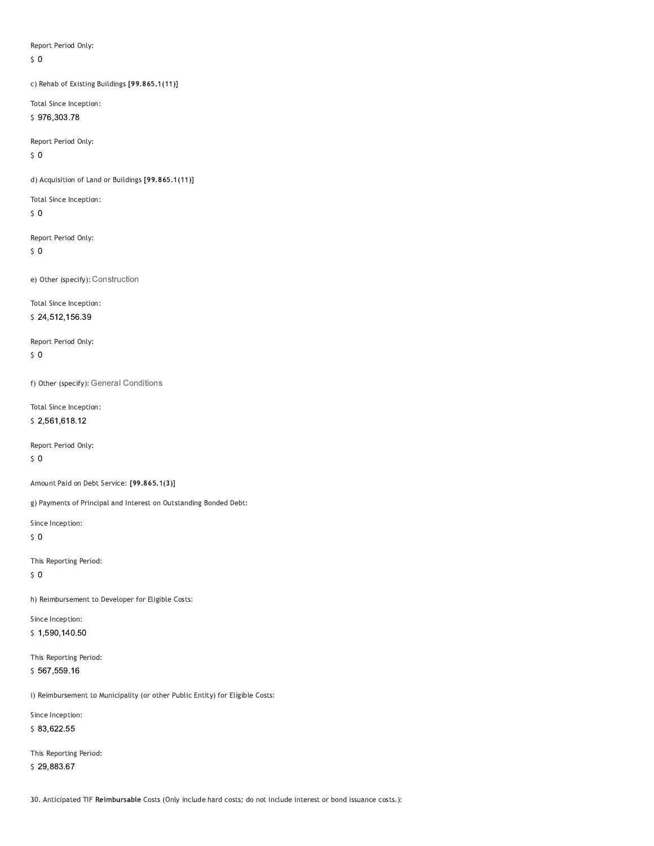Report Period Only:

 $\zeta$  0

c) Rehab of Existing Buildings [99.865.1(11)]

Total Since Inception: \$976,303.78

Report Period Only:

 $50$ 

d) Acquisition of Land or Buildings [99.865.1(11)]

Total Since Inception:

 $50$ 

Report Period Only:

 $\sqrt{5}$  O

e) Other (specify): Construction

Total Since Inception:

\$24,512,156.39

Report Period Only:  $50$ 

f) Other (specify): General Conditions

Total Since Inception: \$2,561,618.12

Report Period Only:

 $\sqrt{5}$  O

Amount Paid on Debt Service: [99.865.1(3)]

g) Payments of Principal and Interest on Outstanding Bonded Debt:

Since Inception:

 $50$ 

This Reporting Period:

 $\sqrt{5}$  O

h) Reimbursement to Developer for Eligible Costs:

Since Inception: \$1,590,140.50

This Reporting Period: \$567,559.16

i) Reimbursement to Municipality (or other Public Entity) for Eligible Costs:

Since Inception:

\$83,622.55

This Reporting Period: \$29,883.67

30. Anticipated TIF Reimbursable Costs (Only include hard costs; do not include interest or bond issuance costs.):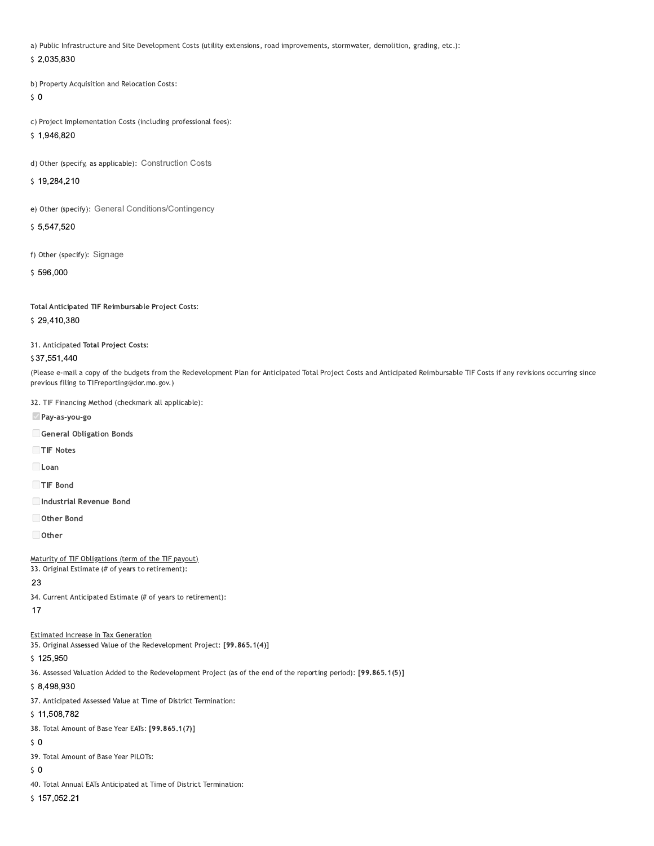a) Public Infrastructure and Site Development Costs (utility extensions, road improvements, stormwater, demolition, grading, etc.):

\$2,035,830

b) Property Acquisition and Relocation Costs:

 $50$ 

c) Project Implementation Costs (including professional fees):

\$1,946,820

d) Other (specify, as applicable): Construction Costs

\$19,284,210

e) Other (specify): General Conditions/Contingency

\$5.547,520

f) Other (specify): Signage

\$596,000

Total Anticipated TIF Reimbursable Project Costs:

### \$29,410,380

31. Anticipated Total Project Costs:

#### \$37,551,440

(Please e-mail a copy of the budgets from the Redevelopment Plan for Anticipated Total Project Costs and Anticipated Reimbursable TIF Costs if any revisions occurring since previous filing to TIFreporting@dor.mo.gov.)

32. TIF Financing Method (checkmark all applicable):

Pay-as-you-go

General Obligation Bonds

TIF Notes

 $\Box$ Loan

TIF Bond

Industrial Revenue Bond

Other Bond

 $\Box$  Other

Maturity of TIF Obligations (term of the TIF payout)

33. Original Estimate (# of years to retirement):

## 23

34. Current Anticipated Estimate (# of years to retirement):

 $17$ 

## **Estimated Increase in Tax Generation**

35. Original Assessed Value of the Redevelopment Project: [99.865.1(4)]

\$125,950

36. Assessed Valuation Added to the Redevelopment Project (as of the end of the reporting period): [99.865.1(5)]

\$8,498,930

37. Anticipated Assessed Value at Time of District Termination:

## \$11,508,782

38. Total Amount of Base Year EATs: [99.865.1(7)]

 $50$ 

39. Total Amount of Base Year PILOTs:

 $50$ 

40. Total Annual EATs Anticipated at Time of District Termination:

\$157,052.21